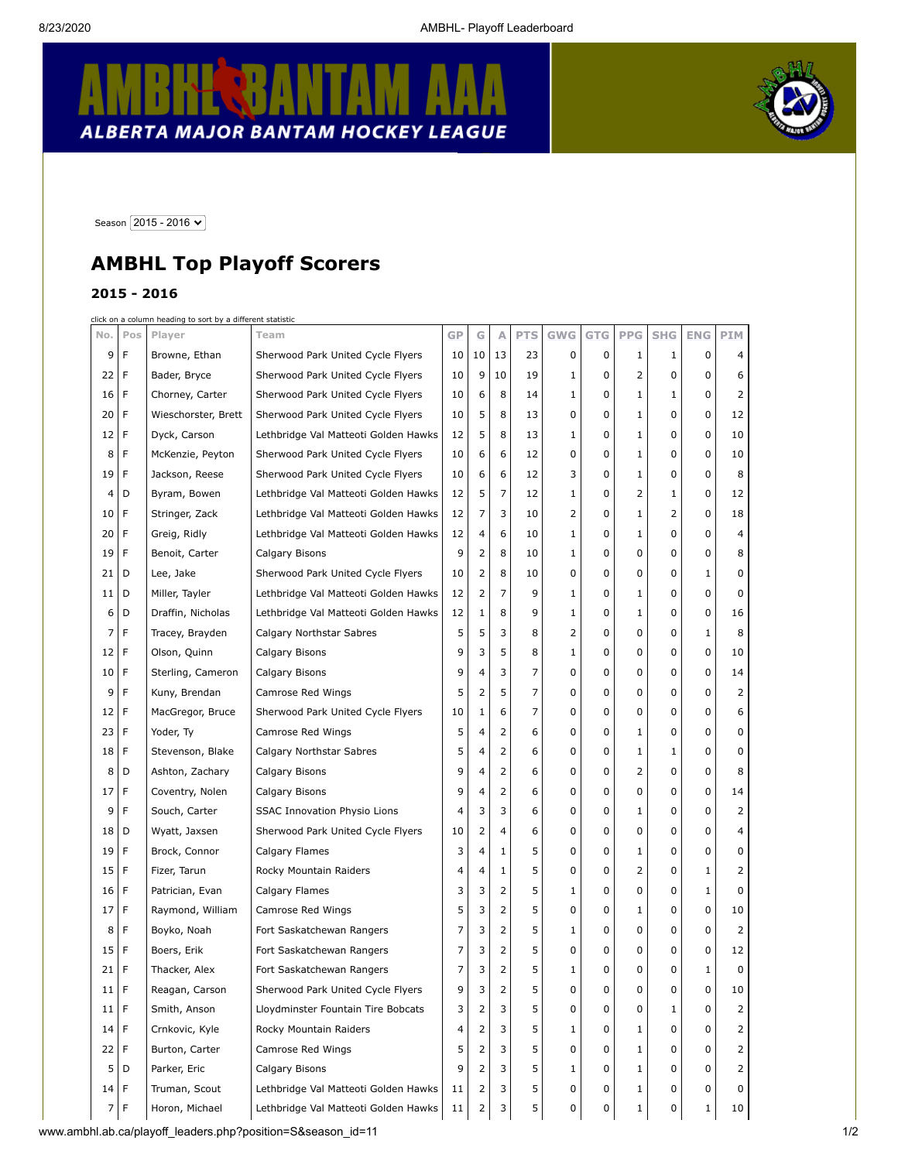$\mathbf{\tau}$ 

T

## **E** BANTAM R ALBERTA MAJOR BANTAM HOCKEY LEAGUE



 $\mathbf{r}$ 

Season  $\boxed{2015 - 2016 \blacktriangleright}$ 

## **AMBHL Top Playoff Scorers**

## **2015 - 2016**

click on a column heading to sort by a different statistic

| No.             | Pos | Player              | Team                                 | GP | G            | Α              | <b>PTS</b>     | <b>GWG</b> | <b>GTG</b> | <b>PPG</b>   | <b>SHG</b> | <b>ENG</b> | <b>PIM</b> |  |
|-----------------|-----|---------------------|--------------------------------------|----|--------------|----------------|----------------|------------|------------|--------------|------------|------------|------------|--|
| 9               | F   | Browne, Ethan       | Sherwood Park United Cycle Flyers    | 10 | 10           | 13             | 23             | 0          | 0          | 1            | 1          | 0          | 4          |  |
| 22              | F   | Bader, Bryce        | Sherwood Park United Cycle Flyers    | 10 | 9            | 10             | 19             | 1          | 0          | 2            | 0          | 0          | 6          |  |
| 16              | F   | Chorney, Carter     | Sherwood Park United Cycle Flyers    | 10 | 6            | 8              | 14             | 1          | 0          | 1            | 1          | 0          | 2          |  |
| 20              | F   | Wieschorster, Brett | Sherwood Park United Cycle Flyers    | 10 | 5            | 8              | 13             | 0          | 0          | 1            | 0          | 0          | 12         |  |
| 12 <sub>1</sub> | F   | Dyck, Carson        | Lethbridge Val Matteoti Golden Hawks | 12 | 5            | 8              | 13             | 1          | 0          | 1            | 0          | 0          | 10         |  |
| 8               | F   | McKenzie, Peyton    | Sherwood Park United Cycle Flyers    | 10 | 6            | 6              | 12             | 0          | 0          | 1            | 0          | 0          | 10         |  |
| 19              | F   | Jackson, Reese      | Sherwood Park United Cycle Flyers    | 10 | 6            | 6              | 12             | 3          | 0          | 1            | 0          | 0          | 8          |  |
| 4               | D   | Byram, Bowen        | Lethbridge Val Matteoti Golden Hawks | 12 | 5            | $\overline{7}$ | 12             | 1          | 0          | 2            | 1          | 0          | 12         |  |
| 10              | F   | Stringer, Zack      | Lethbridge Val Matteoti Golden Hawks | 12 | 7            | 3              | 10             | 2          | 0          | 1            | 2          | 0          | 18         |  |
| 20              | F   | Greig, Ridly        | Lethbridge Val Matteoti Golden Hawks | 12 | 4            | 6              | 10             | 1          | 0          | 1            | 0          | 0          | 4          |  |
| 19              | F   | Benoit, Carter      | Calgary Bisons                       | 9  | 2            | 8              | 10             | 1          | 0          | 0            | 0          | 0          | 8          |  |
| 21              | D   | Lee, Jake           | Sherwood Park United Cycle Flyers    | 10 | 2            | 8              | 10             | 0          | 0          | 0            | 0          | 1          | 0          |  |
| 11              | D   | Miller, Tayler      | Lethbridge Val Matteoti Golden Hawks | 12 | 2            | 7              | 9              | 1          | 0          | 1            | 0          | 0          | 0          |  |
| 6               | D   | Draffin, Nicholas   | Lethbridge Val Matteoti Golden Hawks | 12 | $\mathbf{1}$ | 8              | 9              | 1          | 0          | 1            | 0          | 0          | 16         |  |
| 7               | F   | Tracey, Brayden     | Calgary Northstar Sabres             | 5  | 5            | 3              | 8              | 2          | 0          | 0            | 0          | 1          | 8          |  |
| 12              | F   | Olson, Quinn        | Calgary Bisons                       | 9  | 3            | 5              | 8              | 1          | 0          | 0            | 0          | 0          | 10         |  |
| 10 <sup>1</sup> | F   | Sterling, Cameron   | Calgary Bisons                       | 9  | 4            | 3              | 7              | 0          | 0          | 0            | 0          | 0          | 14         |  |
| 9               | F   | Kuny, Brendan       | Camrose Red Wings                    | 5  | 2            | 5              | $\overline{7}$ | 0          | 0          | 0            | 0          | 0          | 2          |  |
| 12              | F   | MacGregor, Bruce    | Sherwood Park United Cycle Flyers    | 10 | $\mathbf{1}$ | 6              | 7              | 0          | 0          | 0            | 0          | 0          | 6          |  |
| 23              | F   | Yoder, Ty           | Camrose Red Wings                    | 5  | 4            | 2              | 6              | 0          | 0          | 1            | 0          | 0          | 0          |  |
| 18              | F   | Stevenson, Blake    | Calgary Northstar Sabres             | 5  | 4            | 2              | 6              | 0          | 0          | 1            | 1          | 0          | 0          |  |
| 8               | D   | Ashton, Zachary     | Calgary Bisons                       | 9  | 4            | 2              | 6              | 0          | 0          | 2            | 0          | 0          | 8          |  |
| 17              | F   | Coventry, Nolen     | Calgary Bisons                       | 9  | 4            | 2              | 6              | 0          | 0          | 0            | 0          | 0          | 14         |  |
| 9               | F   | Souch, Carter       | <b>SSAC Innovation Physio Lions</b>  | 4  | 3            | 3              | 6              | 0          | 0          | 1            | 0          | 0          | 2          |  |
| 18              | D   | Wyatt, Jaxsen       | Sherwood Park United Cycle Flyers    | 10 | 2            | 4              | 6              | 0          | 0          | 0            | 0          | 0          | 4          |  |
| 19              | F   | Brock, Connor       | Calgary Flames                       | 3  | 4            | 1              | 5              | 0          | 0          | 1            | 0          | 0          | 0          |  |
| 15              | F   | Fizer, Tarun        | Rocky Mountain Raiders               | 4  | 4            | $\mathbf{1}$   | 5              | 0          | 0          | 2            | 0          | 1          | 2          |  |
| 16              | F   | Patrician, Evan     | Calgary Flames                       | 3  | 3            | 2              | 5              | 1          | 0          | 0            | 0          | 1          | 0          |  |
| 17              | F   | Raymond, William    | Camrose Red Wings                    | 5  | 3            | 2              | 5              | 0          | 0          | 1            | 0          | 0          | 10         |  |
| 8               | F   | Boyko, Noah         | Fort Saskatchewan Rangers            | 7  | 3            | 2              | 5              | 1          | 0          | 0            | 0          | 0          | 2          |  |
| 15              | F   | Boers, Erik         | Fort Saskatchewan Rangers            | 7  | 3            | 2              | 5              | 0          | 0          | 0            | 0          | 0          | 12         |  |
| 21              | F   | Thacker, Alex       | Fort Saskatchewan Rangers            | 7  | 3            | 2              | 5              | 1          | 0          | 0            | 0          | 1          | 0          |  |
| 11   F          |     | Reagan, Carson      | Sherwood Park United Cycle Flyers    | 9  | 3            | $\overline{z}$ | 5              |            | o          | U            | U          | O          | 10         |  |
| 11 <sub>1</sub> | F   | Smith, Anson        | Lloydminster Fountain Tire Bobcats   | 3  | 2            | 3              | 5              | 0          | 0          | 0            | 1          | 0          | 2          |  |
| 14              | F   | Crnkovic, Kyle      | Rocky Mountain Raiders               | 4  | 2            | 3              | 5              | 1          | 0          | 1            | 0          | 0          | 2          |  |
| 22              | F   | Burton, Carter      | Camrose Red Wings                    | 5  | 2            | 3              | 5              | 0          | 0          | 1            | 0          | 0          | 2          |  |
| 5               | D   | Parker, Eric        | Calgary Bisons                       | 9  | 2            | 3              | 5              | 1          | 0          | 1            | 0          | 0          | 2          |  |
| $14$ F          |     | Truman, Scout       | Lethbridge Val Matteoti Golden Hawks | 11 | 2            | 3              | 5              | 0          | 0          | 1            | 0          | 0          | 0          |  |
| 7 F             |     | Horon, Michael      | Lethbridge Val Matteoti Golden Hawks | 11 | 2            | 3              | 5              | 0          | 0          | $\mathbf{1}$ | 0          | 1          | 10         |  |

www.ambhl.ab.ca/playoff\_leaders.php?position=S&season\_id=11 1/2